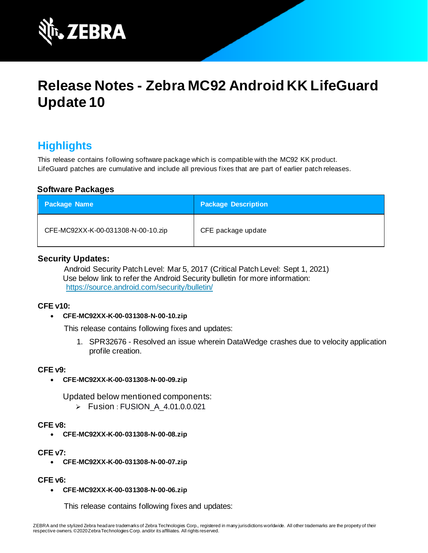

# **Release Notes - Zebra MC92 Android KK LifeGuard Update 10**

# **Highlights**

This release contains following software package which is compatible with the MC92 KK product. LifeGuard patches are cumulative and include all previous fixes that are part of earlier patch releases.

#### **Software Packages**

| <b>Package Name</b>                | <b>Package Description</b> |
|------------------------------------|----------------------------|
| CFE-MC92XX-K-00-031308-N-00-10.zip | CFE package update         |

#### **Security Updates:**

Android Security Patch Level: Mar 5, 2017 (Critical Patch Level: Sept 1, 2021) Use below link to refer the Android Security bulletin for more information: <https://source.android.com/security/bulletin/>

#### **CFE v10:**

#### • **CFE-MC92XX-K-00-031308-N-00-10.zip**

This release contains following fixes and updates:

1. SPR32676 - Resolved an issue wherein DataWedge crashes due to velocity application profile creation.

#### **CFE v9:**

• **CFE-MC92XX-K-00-031308-N-00-09.zip**

Updated below mentioned components:

➢ Fusion : FUSION\_A\_4.01.0.0.021

#### **CFE v8:**

• **CFE-MC92XX-K-00-031308-N-00-08.zip**

#### **CFE v7:**

• **CFE-MC92XX-K-00-031308-N-00-07.zip**

#### **CFE v6:**

• **CFE-MC92XX-K-00-031308-N-00-06.zip**

This release contains following fixes and updates: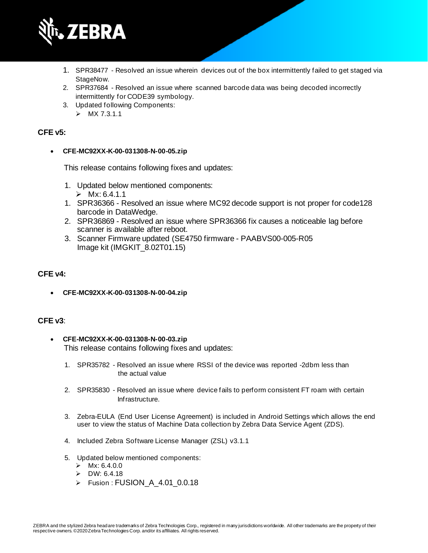

- 1. SPR38477 Resolved an issue wherein devices out of the box intermittently failed to get staged via StageNow.
- 2. SPR37684 Resolved an issue where scanned barcode data was being decoded incorrectly intermittently for CODE39 symbology.
- 3. Updated following Components:
	- $>$  MX 7.3.1.1

#### **CFE v5:**

#### • **CFE-MC92XX-K-00-031308-N-00-05.zip**

This release contains following fixes and updates:

- 1. Updated below mentioned components:  $\triangleright$  Mx $\cdot$  6.4.1.1
- 1. SPR36366 Resolved an issue where MC92 decode support is not proper for code128 barcode in DataWedge.
- 2. SPR36869 Resolved an issue where SPR36366 fix causes a noticeable lag before scanner is available after reboot.
- 3. Scanner Firmware updated (SE4750 firmware PAABVS00-005-R05 Image kit (IMGKIT\_8.02T01.15)

#### **CFE v4:**

• **CFE-MC92XX-K-00-031308-N-00-04.zip**

#### **CFE v3**:

- **CFE-MC92XX-K-00-031308-N-00-03.zip** This release contains following fixes and updates:
	- 1. SPR35782 Resolved an issue where RSSI of the device was reported -2dbm less than the actual value
	- 2. SPR35830 Resolved an issue where device fails to perform consistent FT roam with certain Infrastructure.
	- 3. Zebra-EULA (End User License Agreement) is included in Android Settings which allows the end user to view the status of Machine Data collection by Zebra Data Service Agent (ZDS).
	- 4. Included Zebra Software License Manager (ZSL) v3.1.1
	- 5. Updated below mentioned components:
		- $>$  Mx: 6.4.0.0
		- ➢ DW: 6.4.18
		- ➢ Fusion : FUSION\_A\_4.01\_0.0.18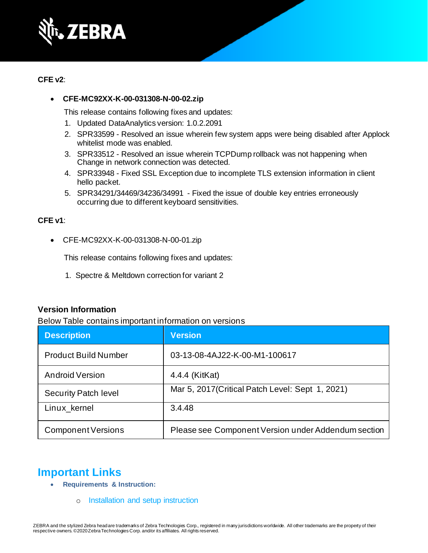

#### **CFE v2**:

#### • **CFE-MC92XX-K-00-031308-N-00-02.zip**

This release contains following fixes and updates:

- 1. Updated DataAnalytics version: 1.0.2.2091
- 2. SPR33599 Resolved an issue wherein few system apps were being disabled after Applock whitelist mode was enabled.
- 3. SPR33512 Resolved an issue wherein TCPDump rollback was not happening when Change in network connection was detected.
- 4. SPR33948 Fixed SSL Exception due to incomplete TLS extension information in client hello packet.
- 5. SPR34291/34469/34236/34991 Fixed the issue of double key entries erroneously occurring due to different keyboard sensitivities.

#### **CFE v1**:

• CFE-MC92XX-K-00-031308-N-00-01.zip

This release contains following fixes and updates:

1. Spectre & Meltdown correction for variant 2

#### **Version Information**

Below Table contains important information on versions

| <b>Description</b>          | <b>Version</b>                                      |
|-----------------------------|-----------------------------------------------------|
| <b>Product Build Number</b> | 03-13-08-4AJ22-K-00-M1-100617                       |
| <b>Android Version</b>      | 4.4.4 (KitKat)                                      |
| <b>Security Patch level</b> | Mar 5, 2017 (Critical Patch Level: Sept 1, 2021)    |
| Linux_kernel                | 3.4.48                                              |
| <b>Component Versions</b>   | Please see Component Version under Addendum section |

### **Important Links**

- **Requirements & Instruction:**
	- o [Installation and setup instruction](https://www.zebra.com/content/dam/zebra_new_ia/en-us/software/operating-system/mc9200-operating-system/MC92-KK-os-update-instructions.pdf)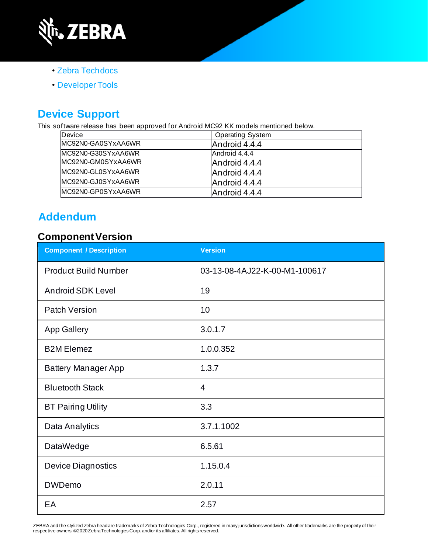

- • [Zebra Techdocs](https://techdocs.zebra.com/)
- • [Developer Tools](https://developer.zebra.com/)

# **Device Support**

This software release has been approved for Android MC92 KK models mentioned below.

| Device             | <b>Operating System</b> |  |
|--------------------|-------------------------|--|
| MC92N0-GA0SYxAA6WR | Android 4.4.4           |  |
| MC92N0-G30SYxAA6WR | Android 4.4.4           |  |
| MC92N0-GM0SYxAA6WR | Android 4.4.4           |  |
| MC92N0-GL0SYxAA6WR | Android 4.4.4           |  |
| MC92N0-GJ0SYxAA6WR | Android 4.4.4           |  |
| MC92N0-GP0SYxAA6WR | Android 4.4.4           |  |

# **Addendum**

### **Component Version**

| <b>Component / Description</b> | <b>Version</b>                |  |
|--------------------------------|-------------------------------|--|
| <b>Product Build Number</b>    | 03-13-08-4AJ22-K-00-M1-100617 |  |
| <b>Android SDK Level</b>       | 19                            |  |
| <b>Patch Version</b>           | 10                            |  |
| <b>App Gallery</b>             | 3.0.1.7                       |  |
| <b>B2M Elemez</b>              | 1.0.0.352                     |  |
| <b>Battery Manager App</b>     | 1.3.7                         |  |
| <b>Bluetooth Stack</b>         | 4                             |  |
| <b>BT Pairing Utility</b>      | 3.3                           |  |
| Data Analytics                 | 3.7.1.1002                    |  |
| DataWedge                      | 6.5.61                        |  |
| <b>Device Diagnostics</b>      | 1.15.0.4                      |  |
| <b>DWDemo</b>                  | 2.0.11                        |  |
| EA                             | 2.57                          |  |

ZEBRA and the stylized Zebra headare trademarks of Zebra Technologies Corp., registered in many jurisdictions worldwide. All other trademarks are the property of their<br>respective owners.©2020ZebraTechnologies Corp. and/or